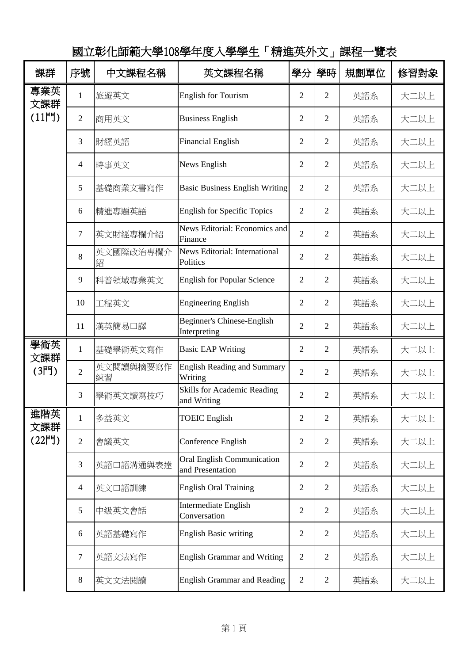國立彰化師範大學108學年度入學學生「精進英外文」課程一覽表

| 課群                    | 序號             | 中文課程名稱          | 英文課程名稱                                                | 學分             | 學時             | 規劃單位 | 修習對象 |
|-----------------------|----------------|-----------------|-------------------------------------------------------|----------------|----------------|------|------|
| 專業英<br>文課群<br>$(11$ 門 | $\mathbf{1}$   | 旅遊英文            | <b>English for Tourism</b>                            | 2              | 2              | 英語系  | 大二以上 |
|                       | $\mathfrak{2}$ | 商用英文            | <b>Business English</b>                               | $\overline{2}$ | 2              | 英語系  | 大二以上 |
|                       | 3              | 財經英語            | <b>Financial English</b>                              | $\overline{2}$ | 2              | 英語系  | 大二以上 |
|                       | $\overline{4}$ | 時事英文            | News English                                          | $\overline{2}$ | $\overline{2}$ | 英語系  | 大二以上 |
|                       | 5              | 基礎商業文書寫作        | <b>Basic Business English Writing</b>                 | $\overline{2}$ | 2              | 英語系  | 大二以上 |
|                       | 6              | 精進專題英語          | <b>English for Specific Topics</b>                    | $\overline{2}$ | $\overline{2}$ | 英語系  | 大二以上 |
|                       | $\overline{7}$ | 英文財經專欄介紹        | News Editorial: Economics and<br>Finance              | $\overline{2}$ | 2              | 英語系  | 大二以上 |
|                       | 8              | 英文國際政治專欄介<br>紹  | <b>News Editorial: International</b><br>Politics      | $\overline{2}$ | $\overline{2}$ | 英語系  | 大二以上 |
|                       | 9              | 科普領域專業英文        | <b>English for Popular Science</b>                    | $\overline{c}$ | 2              | 英語系  | 大二以上 |
|                       | 10             | 工程英文            | <b>Engineering English</b>                            | $\overline{2}$ | $\overline{2}$ | 英語系  | 大二以上 |
|                       | 11             | 漢英簡易口譯          | Beginner's Chinese-English<br>Interpreting            | $\overline{2}$ | $\overline{2}$ | 英語系  | 大二以上 |
| 學術英<br>文課群            | $\mathbf{1}$   | 基礎學術英文寫作        | <b>Basic EAP Writing</b>                              | $\overline{2}$ | $\overline{2}$ | 英語系  | 大二以上 |
| $(3F$ ]               | $\overline{2}$ | 英文閱讀與摘要寫作<br>練習 | <b>English Reading and Summary</b><br>Writing         | $\overline{2}$ | $\overline{2}$ | 英語系  | 大二以上 |
|                       | 3              | 學術英文讀寫技巧        | <b>Skills for Academic Reading</b><br>and Writing     | $\overline{2}$ | $\overline{2}$ | 英語系  | 大二以上 |
| 進階英<br>文課群<br>(22門)   | $\mathbf{1}$   | 多益英文            | <b>TOEIC</b> English                                  | $\overline{2}$ | $\overline{2}$ | 英語系  | 大二以上 |
|                       | $\mathfrak{2}$ | 會議英文            | Conference English                                    | $\overline{2}$ | $\overline{2}$ | 英語系  | 大二以上 |
|                       | 3              | 英語口語溝通與表達       | <b>Oral English Communication</b><br>and Presentation | $\overline{2}$ | $\overline{2}$ | 英語系  | 大二以上 |
|                       | $\overline{4}$ | 英文口語訓練          | <b>English Oral Training</b>                          | $\overline{2}$ | $\overline{2}$ | 英語系  | 大二以上 |
|                       | 5              | 中級英文會話          | Intermediate English<br>Conversation                  | $\overline{2}$ | $\overline{2}$ | 英語系  | 大二以上 |
|                       | 6              | 英語基礎寫作          | <b>English Basic writing</b>                          | $\overline{2}$ | $\overline{2}$ | 英語系  | 大二以上 |
|                       | $\overline{7}$ | 英語文法寫作          | <b>English Grammar and Writing</b>                    | $\overline{2}$ | $\overline{2}$ | 英語系  | 大二以上 |
|                       | $8\,$          | 英文文法閱讀          | <b>English Grammar and Reading</b>                    | $\overline{2}$ | $\overline{2}$ | 英語系  | 大二以上 |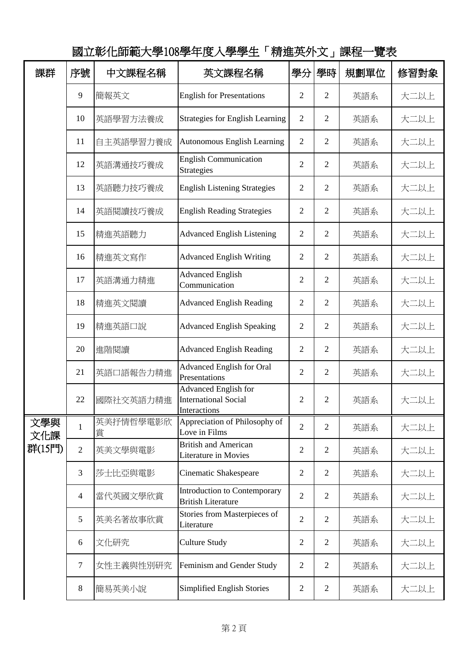| 課群         | 序號             | 中文課程名稱         | 英文課程名稱                                                                     | 學分             | 學時             | 規劃單位 | 修習對象 |
|------------|----------------|----------------|----------------------------------------------------------------------------|----------------|----------------|------|------|
|            | 9              | 簡報英文           | <b>English for Presentations</b>                                           | $\overline{2}$ | $\overline{2}$ | 英語系  | 大二以上 |
|            | 10             | 英語學習方法養成       | <b>Strategies for English Learning</b>                                     | $\overline{2}$ | $\overline{2}$ | 英語系  | 大二以上 |
|            | 11             | 自主英語學習力養成      | <b>Autonomous English Learning</b>                                         | $\overline{2}$ | $\overline{2}$ | 英語系  | 大二以上 |
|            | 12             | 英語溝通技巧養成       | <b>English Communication</b><br><b>Strategies</b>                          | $\overline{2}$ | $\overline{2}$ | 英語系  | 大二以上 |
|            | 13             | 英語聽力技巧養成       | <b>English Listening Strategies</b>                                        | $\overline{2}$ | $\overline{2}$ | 英語系  | 大二以上 |
|            | 14             | 英語閱讀技巧養成       | <b>English Reading Strategies</b>                                          | $\overline{2}$ | $\overline{2}$ | 英語系  | 大二以上 |
|            | 15             | 精進英語聽力         | <b>Advanced English Listening</b>                                          | $\overline{2}$ | $\overline{2}$ | 英語系  | 大二以上 |
|            | 16             | 精進英文寫作         | <b>Advanced English Writing</b>                                            | $\overline{2}$ | $\overline{2}$ | 英語系  | 大二以上 |
|            | 17             | 英語溝通力精進        | <b>Advanced English</b><br>Communication                                   | $\overline{2}$ | $\overline{2}$ | 英語系  | 大二以上 |
|            | 18             | 精進英文閱讀         | <b>Advanced English Reading</b>                                            | $\overline{2}$ | $\overline{2}$ | 英語系  | 大二以上 |
|            | 19             | 精進英語口說         | <b>Advanced English Speaking</b>                                           | $\overline{2}$ | $\overline{2}$ | 英語系  | 大二以上 |
|            | 20             | 進階閱讀           | <b>Advanced English Reading</b>                                            | $\overline{2}$ | $\overline{2}$ | 英語系  | 大二以上 |
|            | 21             | 英語口語報告力精進      | <b>Advanced English for Oral</b><br>Presentations                          | $\overline{2}$ | $\overline{2}$ | 英語系  | 大二以上 |
|            | 22             | 國際社交英語力精進      | <b>Advanced English for</b><br><b>International Social</b><br>Interactions | $\overline{2}$ | $\overline{2}$ | 英語系  | 大二以上 |
| 文學與<br>文化課 | $\mathbf{1}$   | 英美抒情哲學電影欣<br>賞 | Appreciation of Philosophy of<br>Love in Films                             | $\overline{2}$ | $\overline{2}$ | 英語系  | 大二以上 |
| 群(15門)     | $\overline{2}$ | 英美文學與電影        | <b>British and American</b><br>Literature in Movies                        | $\overline{2}$ | $\overline{2}$ | 英語系  | 大二以上 |
|            | 3              | 莎士比亞與電影        | Cinematic Shakespeare                                                      | $\overline{2}$ | $\overline{2}$ | 英語系  | 大二以上 |
|            | 4              | 當代英國文學欣賞       | Introduction to Contemporary<br><b>British Literature</b>                  | $\overline{2}$ | $\overline{2}$ | 英語系  | 大二以上 |
|            | 5              | 英美名著故事欣賞       | Stories from Masterpieces of<br>Literature                                 | $\overline{2}$ | $\overline{2}$ | 英語系  | 大二以上 |
|            | 6              | 文化研究           | Culture Study                                                              | $\overline{2}$ | $\overline{2}$ | 英語系  | 大二以上 |
|            | 7              | 女性主義與性別研究      | Feminism and Gender Study                                                  | $\overline{2}$ | $\overline{2}$ | 英語系  | 大二以上 |
|            | 8              | 簡易英美小說         | Simplified English Stories                                                 | $\sqrt{2}$     | $\mathfrak{2}$ | 英語系  | 大二以上 |

國立彰化師範大學108學年度入學學生「精進英外文」課程一覽表